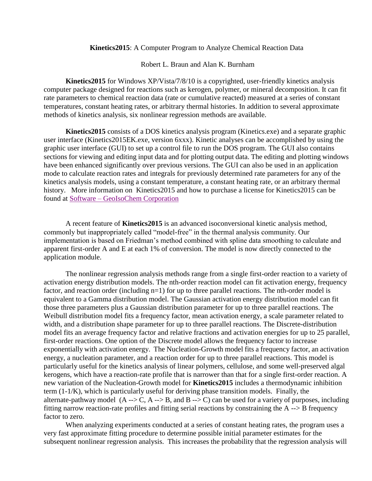## **Kinetics2015**: A Computer Program to Analyze Chemical Reaction Data

Robert L. Braun and Alan K. Burnham

**Kinetics2015** for Windows XP/Vista/7/8/10 is a copyrighted, user-friendly kinetics analysis computer package designed for reactions such as kerogen, polymer, or mineral decomposition. It can fit rate parameters to chemical reaction data (rate or cumulative reacted) measured at a series of constant temperatures, constant heating rates, or arbitrary thermal histories. In addition to several approximate methods of kinetics analysis, six nonlinear regression methods are available.

**Kinetics2015** consists of a DOS kinetics analysis program (Kinetics.exe) and a separate graphic user interface (Kinetics2015EK.exe, version 6xxx). Kinetic analyses can be accomplished by using the graphic user interface (GUI) to set up a control file to run the DOS program. The GUI also contains sections for viewing and editing input data and for plotting output data. The editing and plotting windows have been enhanced significantly over previous versions. The GUI can also be used in an application mode to calculate reaction rates and integrals for previously determined rate parameters for any of the kinetics analysis models, using a constant temperature, a constant heating rate, or an arbitrary thermal history. More information on Kinetics2015 and how to purchase a license for Kinetics2015 can be found at Software – [GeoIsoChem Corporation](https://geoisochem.com/software/)

A recent feature of **Kinetics2015** is an advanced isoconversional kinetic analysis method, commonly but inappropriately called "model-free" in the thermal analysis community. Our implementation is based on Friedman's method combined with spline data smoothing to calculate and apparent first-order A and E at each 1% of conversion. The model is now directly connected to the application module.

The nonlinear regression analysis methods range from a single first-order reaction to a variety of activation energy distribution models. The nth-order reaction model can fit activation energy, frequency factor, and reaction order (including n=1) for up to three parallel reactions. The nth-order model is equivalent to a Gamma distribution model. The Gaussian activation energy distribution model can fit those three parameters plus a Gaussian distribution parameter for up to three parallel reactions. The Weibull distribution model fits a frequency factor, mean activation energy, a scale parameter related to width, and a distribution shape parameter for up to three parallel reactions. The Discrete-distribution model fits an average frequency factor and relative fractions and activation energies for up to 25 parallel, first-order reactions. One option of the Discrete model allows the frequency factor to increase exponentially with activation energy. The Nucleation-Growth model fits a frequency factor, an activation energy, a nucleation parameter, and a reaction order for up to three parallel reactions. This model is particularly useful for the kinetics analysis of linear polymers, cellulose, and some well-preserved algal kerogens, which have a reaction-rate profile that is narrower than that for a single first-order reaction. A new variation of the Nucleation-Growth model for **Kinetics2015** includes a thermodynamic inhibition term (1-1/K), which is particularly useful for deriving phase transition models. Finally, the alternate-pathway model  $(A \rightarrow C, A \rightarrow B,$  and  $B \rightarrow C)$  can be used for a variety of purposes, including fitting narrow reaction-rate profiles and fitting serial reactions by constraining the A --> B frequency factor to zero.

When analyzing experiments conducted at a series of constant heating rates, the program uses a very fast approximate fitting procedure to determine possible initial parameter estimates for the subsequent nonlinear regression analysis. This increases the probability that the regression analysis will